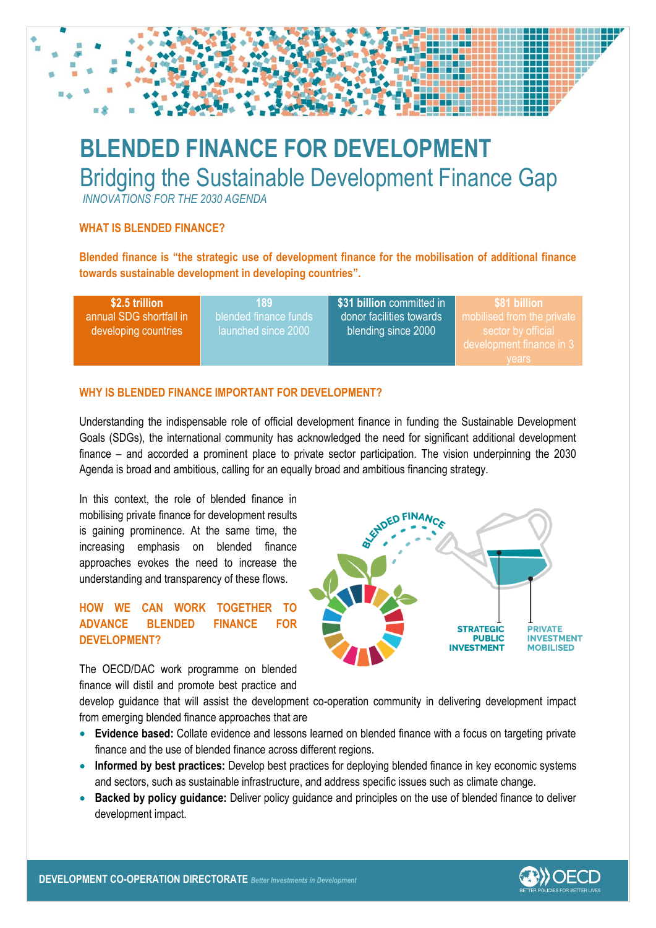

*INNOVATIONS FOR THE 2030 AGENDA*

## **WHAT IS BLENDED FINANCE?**

**Blended finance is "the strategic use of development finance for the mobilisation of additional finance towards sustainable development in developing countries".** 

| \$2.5 trillion<br>annual SDG shortfall in<br>developing countries | 189.<br>blended finance funds<br>llaunched since 2000 ' | \$31 billion committed in<br>donor facilities towards<br>blending since 2000 | \$81 billion<br>mobilised from the private<br>sector by official<br>development finance in 3 |
|-------------------------------------------------------------------|---------------------------------------------------------|------------------------------------------------------------------------------|----------------------------------------------------------------------------------------------|
|                                                                   |                                                         |                                                                              | vears                                                                                        |

### **WHY IS BLENDED FINANCE IMPORTANT FOR DEVELOPMENT?**

Understanding the indispensable role of official development finance in funding the Sustainable Development Goals (SDGs), the international community has acknowledged the need for significant additional development finance – and accorded a prominent place to private sector participation. The vision underpinning the 2030 Agenda is broad and ambitious, calling for an equally broad and ambitious financing strategy.

In this context, the role of blended finance in mobilising private finance for development results is gaining prominence. At the same time, the increasing emphasis on blended finance approaches evokes the need to increase the understanding and transparency of these flows.

# **HOW WE CAN WORK TOGETHER TO ADVANCE BLENDED FINANCE FOR DEVELOPMENT?**

The OECD/DAC work programme on blended finance will distil and promote best practice and **STRATEGIC PRIVATE INVESTMENT PUBLIC MOBILISED VESTMENT** 

develop guidance that will assist the development co-operation community in delivering development impact from emerging blended finance approaches that are

- **Evidence based:** Collate evidence and lessons learned on blended finance with a focus on targeting private finance and the use of blended finance across different regions.
- **Informed by best practices:** Develop best practices for deploying blended finance in key economic systems and sectors, such as sustainable infrastructure, and address specific issues such as climate change.
- **Backed by policy guidance:** Deliver policy guidance and principles on the use of blended finance to deliver development impact.



**DEVELOPMENT CO-OPERATION DIRECTORATE**